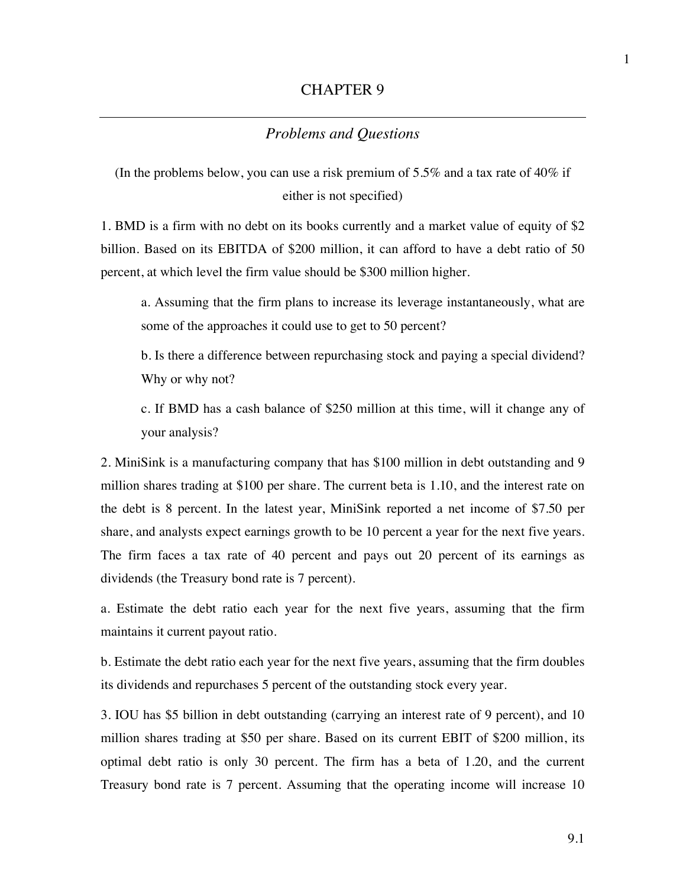## *Problems and Questions*

(In the problems below, you can use a risk premium of 5.5% and a tax rate of 40% if either is not specified)

1. BMD is a firm with no debt on its books currently and a market value of equity of \$2 billion. Based on its EBITDA of \$200 million, it can afford to have a debt ratio of 50 percent, at which level the firm value should be \$300 million higher.

a. Assuming that the firm plans to increase its leverage instantaneously, what are some of the approaches it could use to get to 50 percent?

b. Is there a difference between repurchasing stock and paying a special dividend? Why or why not?

c. If BMD has a cash balance of \$250 million at this time, will it change any of your analysis?

2. MiniSink is a manufacturing company that has \$100 million in debt outstanding and 9 million shares trading at \$100 per share. The current beta is 1.10, and the interest rate on the debt is 8 percent. In the latest year, MiniSink reported a net income of \$7.50 per share, and analysts expect earnings growth to be 10 percent a year for the next five years. The firm faces a tax rate of 40 percent and pays out 20 percent of its earnings as dividends (the Treasury bond rate is 7 percent).

a. Estimate the debt ratio each year for the next five years, assuming that the firm maintains it current payout ratio.

b. Estimate the debt ratio each year for the next five years, assuming that the firm doubles its dividends and repurchases 5 percent of the outstanding stock every year.

3. IOU has \$5 billion in debt outstanding (carrying an interest rate of 9 percent), and 10 million shares trading at \$50 per share. Based on its current EBIT of \$200 million, its optimal debt ratio is only 30 percent. The firm has a beta of 1.20, and the current Treasury bond rate is 7 percent. Assuming that the operating income will increase 10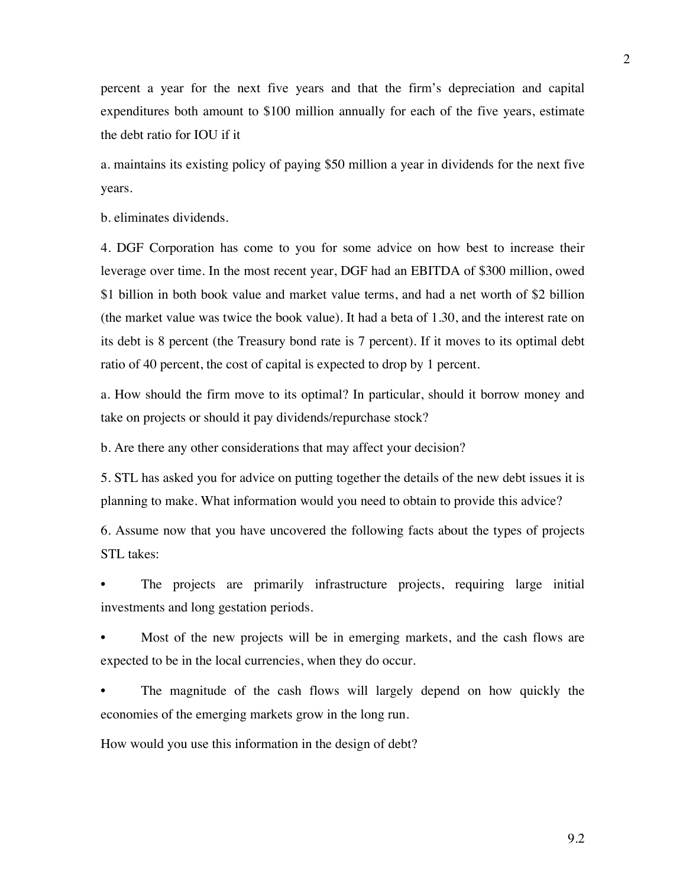percent a year for the next five years and that the firm's depreciation and capital expenditures both amount to \$100 million annually for each of the five years, estimate the debt ratio for IOU if it

a. maintains its existing policy of paying \$50 million a year in dividends for the next five years.

b. eliminates dividends.

4. DGF Corporation has come to you for some advice on how best to increase their leverage over time. In the most recent year, DGF had an EBITDA of \$300 million, owed \$1 billion in both book value and market value terms, and had a net worth of \$2 billion (the market value was twice the book value). It had a beta of 1.30, and the interest rate on its debt is 8 percent (the Treasury bond rate is 7 percent). If it moves to its optimal debt ratio of 40 percent, the cost of capital is expected to drop by 1 percent.

a. How should the firm move to its optimal? In particular, should it borrow money and take on projects or should it pay dividends/repurchase stock?

b. Are there any other considerations that may affect your decision?

5. STL has asked you for advice on putting together the details of the new debt issues it is planning to make. What information would you need to obtain to provide this advice?

6. Assume now that you have uncovered the following facts about the types of projects STL takes:

The projects are primarily infrastructure projects, requiring large initial investments and long gestation periods.

Most of the new projects will be in emerging markets, and the cash flows are expected to be in the local currencies, when they do occur.

• The magnitude of the cash flows will largely depend on how quickly the economies of the emerging markets grow in the long run.

How would you use this information in the design of debt?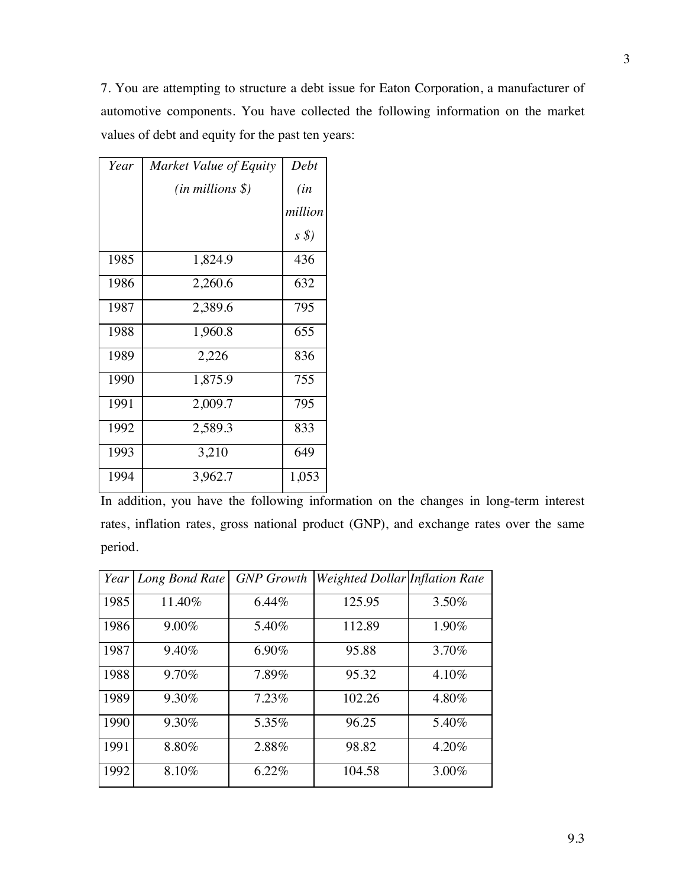7. You are attempting to structure a debt issue for Eaton Corporation, a manufacturer of automotive components. You have collected the following information on the market values of debt and equity for the past ten years:

| Year | Market Value of Equity | Debt       |
|------|------------------------|------------|
|      | $(in\, millions\,$ \$) | (in        |
|      |                        | million    |
|      |                        | $s\hat{s}$ |
| 1985 | 1,824.9                | 436        |
| 1986 | 2,260.6                | 632        |
| 1987 | 2,389.6                | 795        |
| 1988 | 1,960.8                | 655        |
| 1989 | 2,226                  | 836        |
| 1990 | 1,875.9                | 755        |
| 1991 | 2,009.7                | 795        |
| 1992 | 2,589.3                | 833        |
| 1993 | 3,210                  | 649        |
| 1994 | 3,962.7                | 1,053      |

In addition, you have the following information on the changes in long-term interest rates, inflation rates, gross national product (GNP), and exchange rates over the same period.

|      | Year   Long Bond Rate | <b>GNP</b> Growth | Weighted Dollar Inflation Rate |       |
|------|-----------------------|-------------------|--------------------------------|-------|
| 1985 | 11.40%                | $6.44\%$          | 125.95                         | 3.50% |
| 1986 | $9.00\%$              | 5.40%             | 112.89                         | 1.90% |
| 1987 | 9.40%                 | 6.90%             | 95.88                          | 3.70% |
| 1988 | 9.70%                 | 7.89%             | 95.32                          | 4.10% |
| 1989 | 9.30%                 | 7.23%             | 102.26                         | 4.80% |
| 1990 | 9.30%                 | 5.35%             | 96.25                          | 5.40% |
| 1991 | 8.80%                 | 2.88%             | 98.82                          | 4.20% |
| 1992 | 8.10%                 | 6.22%             | 104.58                         | 3.00% |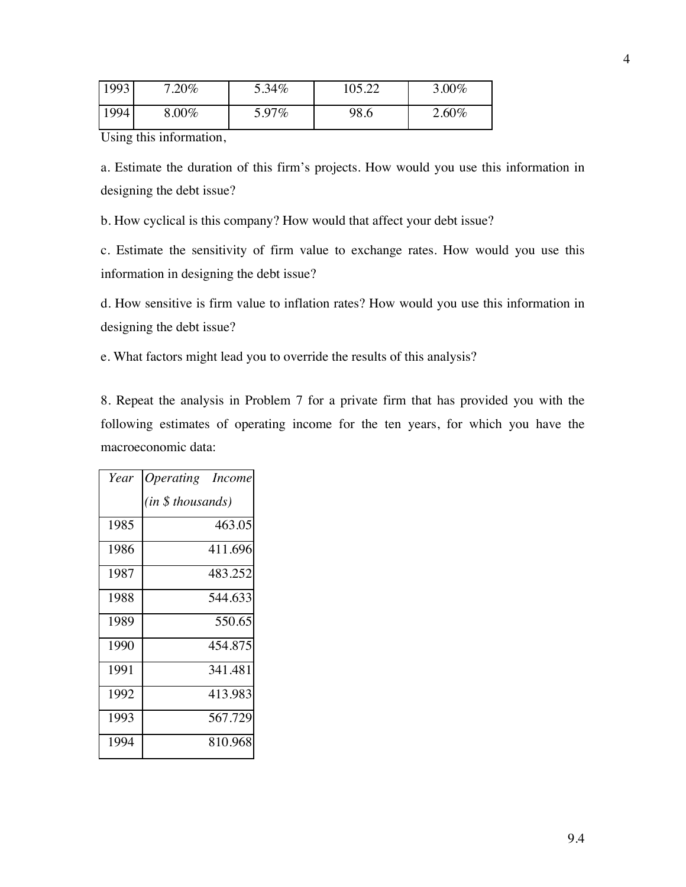| 1993 | $.20\%$ | 5.34% | 105 22 | 3.00%    |
|------|---------|-------|--------|----------|
| 1994 | $.00\%$ | 5.97% | 98.6   | $2.60\%$ |

Using this information,

a. Estimate the duration of this firm's projects. How would you use this information in designing the debt issue?

b. How cyclical is this company? How would that affect your debt issue?

c. Estimate the sensitivity of firm value to exchange rates. How would you use this information in designing the debt issue?

d. How sensitive is firm value to inflation rates? How would you use this information in designing the debt issue?

e. What factors might lead you to override the results of this analysis?

8. Repeat the analysis in Problem 7 for a private firm that has provided you with the following estimates of operating income for the ten years, for which you have the macroeconomic data:

| Year | <i><b>Operating</b></i> Income |
|------|--------------------------------|
|      | (in \$ thousands)              |
| 1985 | 463.05                         |
| 1986 | 411.696                        |
| 1987 | 483.252                        |
| 1988 | 544.633                        |
| 1989 | 550.65                         |
| 1990 | 454.875                        |
| 1991 | 341.481                        |
| 1992 | 413.983                        |
| 1993 | 567.729                        |
| 1994 | 810.968                        |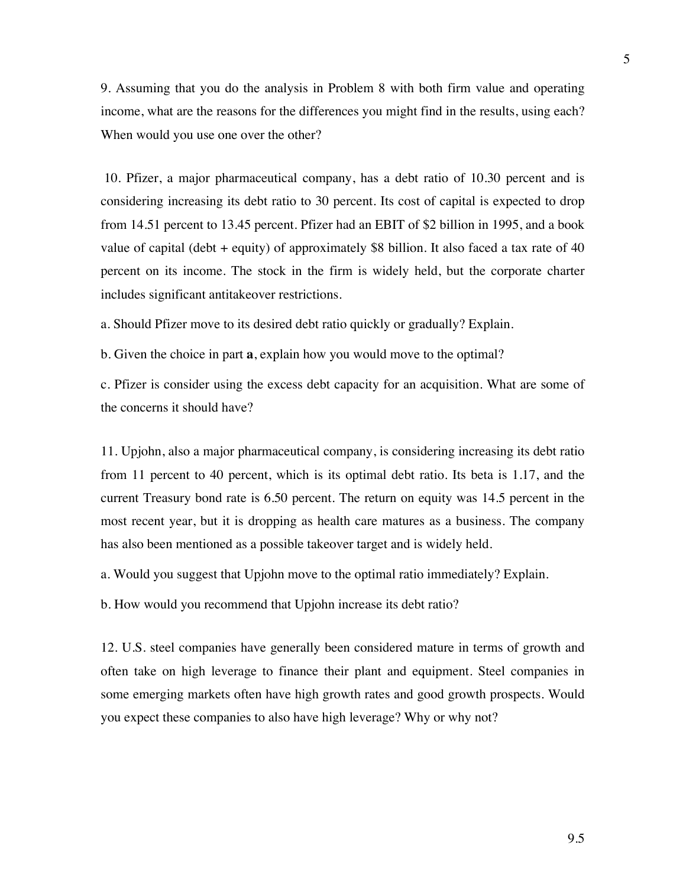9. Assuming that you do the analysis in Problem 8 with both firm value and operating income, what are the reasons for the differences you might find in the results, using each? When would you use one over the other?

10. Pfizer, a major pharmaceutical company, has a debt ratio of 10.30 percent and is considering increasing its debt ratio to 30 percent. Its cost of capital is expected to drop from 14.51 percent to 13.45 percent. Pfizer had an EBIT of \$2 billion in 1995, and a book value of capital (debt + equity) of approximately \$8 billion. It also faced a tax rate of 40 percent on its income. The stock in the firm is widely held, but the corporate charter includes significant antitakeover restrictions.

a. Should Pfizer move to its desired debt ratio quickly or gradually? Explain.

b. Given the choice in part **a**, explain how you would move to the optimal?

c. Pfizer is consider using the excess debt capacity for an acquisition. What are some of the concerns it should have?

11. Upjohn, also a major pharmaceutical company, is considering increasing its debt ratio from 11 percent to 40 percent, which is its optimal debt ratio. Its beta is 1.17, and the current Treasury bond rate is 6.50 percent. The return on equity was 14.5 percent in the most recent year, but it is dropping as health care matures as a business. The company has also been mentioned as a possible takeover target and is widely held.

a. Would you suggest that Upjohn move to the optimal ratio immediately? Explain.

b. How would you recommend that Upjohn increase its debt ratio?

12. U.S. steel companies have generally been considered mature in terms of growth and often take on high leverage to finance their plant and equipment. Steel companies in some emerging markets often have high growth rates and good growth prospects. Would you expect these companies to also have high leverage? Why or why not?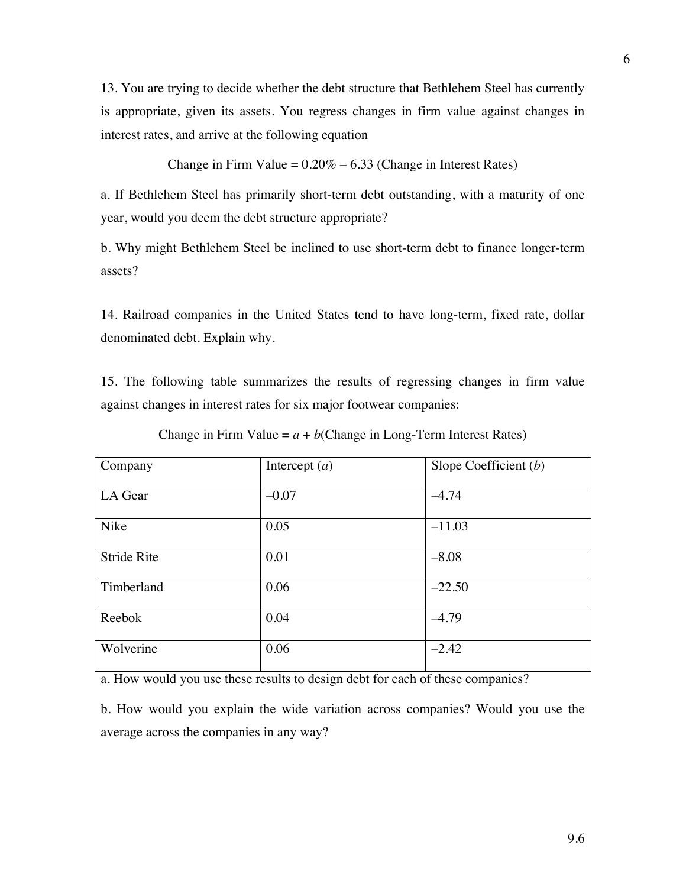13. You are trying to decide whether the debt structure that Bethlehem Steel has currently is appropriate, given its assets. You regress changes in firm value against changes in interest rates, and arrive at the following equation

Change in Firm Value =  $0.20\% - 6.33$  (Change in Interest Rates)

a. If Bethlehem Steel has primarily short-term debt outstanding, with a maturity of one year, would you deem the debt structure appropriate?

b. Why might Bethlehem Steel be inclined to use short-term debt to finance longer-term assets?

14. Railroad companies in the United States tend to have long-term, fixed rate, dollar denominated debt. Explain why.

15. The following table summarizes the results of regressing changes in firm value against changes in interest rates for six major footwear companies:

| Company            | Intercept $(a)$ | Slope Coefficient $(b)$ |
|--------------------|-----------------|-------------------------|
| LA Gear            | $-0.07$         | $-4.74$                 |
| Nike               | 0.05            | $-11.03$                |
| <b>Stride Rite</b> | 0.01            | $-8.08$                 |
| Timberland         | 0.06            | $-22.50$                |
| Reebok             | 0.04            | $-4.79$                 |
| Wolverine          | 0.06            | $-2.42$                 |

Change in Firm Value  $= a + b$ (Change in Long-Term Interest Rates)

a. How would you use these results to design debt for each of these companies?

b. How would you explain the wide variation across companies? Would you use the average across the companies in any way?